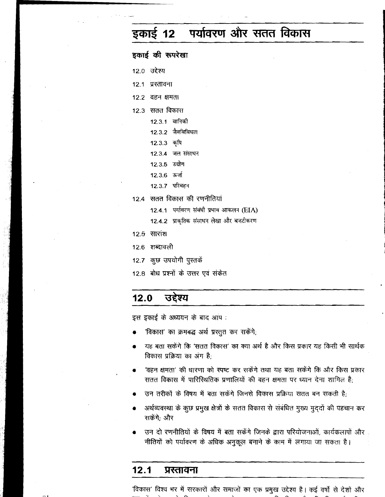### पर्यावरण और सतत विकास इकाई 12

इकाई की रूपरेखा 12.0 उद्देश्य 12.1 प्रस्तावना 12.2 वहन क्षमता 12.3 सतत विकास 12.3.1 वानिकी 12.3.2 जैवविविधता 12.3.3 कृषि 12.3.4 जल संसाधन 12.3.5 उद्योग 12.3.6 ऊर्जा 12.3.7 परिवहन 12.4 सतत विकास की रणनीतियां

- 12.4.1 पर्यावरण संबंधी प्रभाव आकलन (EIA)
- 12.4.2 प्राकृतिक संसाधन लेखा और बजटीकरण
- $12.5$  सारांश
- 12.6 शब्दावली
- 12.7 कुछ उपयोगी पुस्तकें
- 12.8 बोध प्रश्नों के उत्तर एवं संकेत

#### उद्देश्य  $12.0$

इस इकाई के अध्ययन के बाद आप:

- 'विकास' का क्रमबद्ध अर्थ प्रस्तुत कर सकेंगे,
- यह बता सकेंगे कि 'सतत विकास' का क्या अर्थ है और किस प्रकार यह किसी भी सार्थक विकास प्रक्रिया का अंग है:
- 'वहन क्षमता' की धारणा को स्पष्ट कर सकेंगे तथा यह बता सकेंगे कि और किस प्रकार सतत विकास में पारिस्थितिक प्रणालियों की वहन क्षमता पर ध्यान देना शामिल है:
- उन तरीकों के विषय में बता सकेंगे जिनसे विकास प्रक्रिया सतत बन सकती है:
- अर्थव्यवस्था के कुछ प्रमुख क्षेत्रों के सतत विकास से संबंधित मुख्य मुद्दों की पहचान कर सकेंगे: और
- उन दो रणनीतियों के विषय में बता सकेंगे जिनके द्वारा परियोजनाओं, कार्यकलापों और नीतियों को पर्यावरण के अधिक अनुकूल बनाने के काम में लगाया जा सकता है।

#### $12.1$ प्रस्तावना

'विकास' विश्व भर में सरकारों और समाजों का एक प्रमुख उद्देश्य है। कई वर्षों से देशों और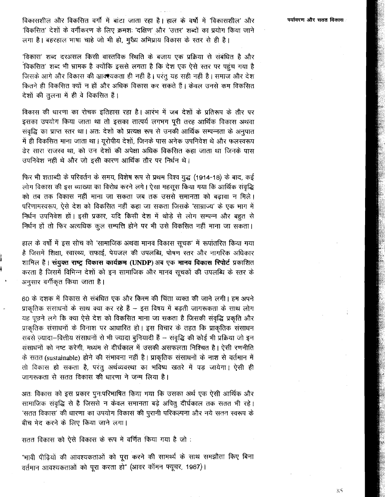विकासशील और विकसित वर्गों में बांटा जाता रहा है। हाल के वर्षों में 'विकासशील' और 'विकसित' देशों के वर्गीकरण के लिए क्रमशः 'दक्षिण' और 'उत्तर' शब्दों का प्रयोग किया जाने लगा है। बहरहाल भाषा चाहे जो भी हो, मुख्य अभिप्राय विकास के स्तर से ही है।

'विकास' शब्द दरअसल किसी वास्तविक स्थिति के बजाय एक प्रक्रिया से संबंधित है और 'विकसित' शब्द भी भ्रामक है क्योंकि इससे लगता है कि देश एक ऐसे स्तर पर पहुंच गया है जिसके आगे और विकास की आक्श्यकता ही नहीं है। परंतु यह सही नहीं है। समाज और देश कितने ही विकसित क्यों न हों और अधिक विकास कर सकते हैं। केवल उनसे कम विकसित देशों की तुलना में ही वे विकसित हैं।

विकास की धारणा का रोचक इतिहास रहा है। आरंभ में जब देशों के प्रतिरूप के तौर पर इसका उपयोग किया जाता था तो इसका तात्पर्य लगभग पूरी तरह आर्थिक विकास अथवा संवृद्धि का प्राप्त स्तर था। अतः देशों को प्रत्यक्ष रूप से उनकी आर्थिक सम्पन्नता के अनुपात में ही विकसित माना जाता था। यूरोपीय देशों, जिनके पास अनेक उपनिवेश थे और फलस्वरूप ढेर सारा राजस्व था, को उन देशों की अपेक्षा अधिक विकसित कहा जाता था जिनके पास उपनिवेश नहीं थे और जो इसी कारण आर्थिक तौर पर निर्धन थे।

फिर भी शताब्दी के परिवर्तन के समय, विशेष रूप से प्रथम विश्व युद्ध (1914-18) के बाद, कई लोग विकास की इस व्याख्या का विरोध करने लगे। ऐसा महसूस किया गया कि आर्थिक संवृद्धि को तब तक विकास नहीं माना जा सकता जब तक उससे समानता को बढ़ावा न मिले। परिणामस्वरूप, ऐसे देश को विकसित नहीं कहा जा सकता जिसके 'साम्राज्य' के एक भाग में निर्धन उपनिवेश हों। इसी प्रकार, यदि किसी देश में थोड़े से लोग सम्पन्न और बहुत से निर्धन हों तो फिर अत्यधिक कूल सम्पत्ति होने पर भी उसे विकसित नहीं माना जा सकता।

हाल के वर्षों में इस सोच को 'सामाजिक अथवा मानव विकास सूचक' में रूपांतरित किया गया है जिसमें शिक्षा, स्वास्थ्य, सफाई, पेयजल की उपलब्धि, पोषण स्तर और नागरिक अधिकार शामिल हैं। संयुक्त राष्ट्र विकास कार्यक्रम (UNDP) अब एक मानव विकास रिपोर्ट प्रकाशित करता है जिसमें विभिन्न देशों को इन सामाजिक और मानव सूचकों की उपलब्धि के स्तर के अनुसार वर्गीकृत किया जाता है।

60 के दशक में विकास से संबंधित एक और किस्म की चिंता व्यक्त की जाने लगी। हम अपने प्राकृतिक संसाधनों के साथ क्या कर रहे हैं - इस विषय में बढ़ती जागरूकता के साथ लोग यह पूछने लगे कि क्या ऐसे देश को विकसित माना जा सकता है जिसकी संवृद्धि प्रकृति और प्राकृतिक संसाधनों के विनाश पर आधारित हो। इस विचार के तहत कि प्राकृतिक संसाधन सबसे ज़्यादा-वित्तीय संसाधनों से भी ज्यादा बुनियादी हैं – संवृद्धि की कोई भी प्रक्रिया जो इन संसाधनों को नष्ट करेगी, मध्यम से दीर्घकाल में उसकी असफलता निश्चित है। ऐसी रणनीति के सतत (sustainable) होने की संभावना नहीं है। प्राकृतिक संसाधनों के नाश से वर्तमान में तो विकास हो सकता है, परंतु अर्थव्यवस्था का भविष्य खतरे में पड़ जायेगा। ऐसी ही जागरूकता से सतत विकास की धारणा ने जन्म लिया है।

अतः विकास को इस प्रकार पुनःपरिभाषित किया गया कि उसका अर्थ एक ऐसी आर्थिक और सामाजिक संवृद्धि से है जिससे न केवल समानता बढ़े अपितु दीर्घकाल तक सतत भी रहे। 'सतत विकास' की धारणा का उपयोग विकास की पुरानी परिकल्पना और नये सतत स्वरूप के बीच भेद करने के लिए किया जाने लगा।

सतत विकास को ऐसे विकास के रूप में वर्णित किया गया है जो:

"भावी पीढ़ियों की आवश्यकताओं को पूरा करने की सामर्थ्य के साथ समझौता किए बिना वर्तमान आवश्यकताओं को पूरा करता हो" (आवर कॉमन फ्यूचर, 1987)।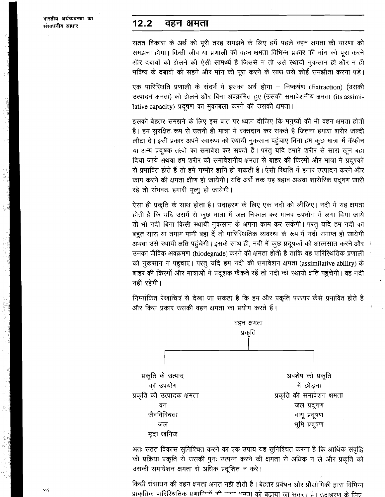#### $12.2$ वहन क्षमता

सतत विकास के अर्थ को पूरी तरह समझने के लिए हमें पहले वहन क्षमता की धारणा को समझना होगा। किसी जीव या प्रणाली की वहन क्षमता विभिन्न प्रकार की मांग को पूरा करने और दबावों को झेलने की ऐसी सामर्थ्य है जिससे न तो उसे स्थायी नुकसान हो और न ही भविष्य के दबावों को सहने और मांग को पूरा करने के साथ उसे कोई समझौता करना पड़े।

एक पारिस्थिति प्रणाली के संदर्भ में इसका अर्थ होगा – निष्कर्षण (Extraction) (उसकी उत्पादन क्षमता) को झेलने और बिना अवक्रमित हुए (उसकी समावेशनीय क्षमता (its assimilative capacity) प्रदूषण का मुकाबला करने की उसकी क्षमता।

इसको बेहतर समझने के लिए इस बात पर ध्यान दीजिए कि मनुष्यों की भी वहन क्षमता होती है। हम सुरक्षित रूप से उतनी ही मात्रा में रक्तदान कर सकते है जितना हमारा शरीर जल्दी लौटा दे। इसी प्रकार अपने स्वास्थ्य को स्थायी नुकसान पहुंचाए बिना हम कुछ मात्रा में कैफ़ीन या अन्य प्रदूषक तत्वों का समावेश कर सकते हैं। परंतु यदि हमारे शरीर से सारा खून बहा दिया जाये अथवा हम शरीर की समावेशनीय क्षमता से बाहर की किस्मों और मात्रा में प्रदूषकों से प्रभावित होते हैं तो हमें गम्भीर हानि हो सकती है। ऐसी स्थिति में हमारे उत्पादन करने और काम करने की क्षमता क्षीण हो जायेगी। यदि अर्से तक यह बहाव अथवा शारीरिक प्रदूषण जारी रहे तो संभवतः हमारी मृत्यु हो जायेगी।

ऐसा ही प्रकृति के साथ होता है। उदाहरण के लिए एक नदी को लीजिए। नदी में यह क्षमता होती है कि यदि उसमें से कुछ मात्रा में जल निकाल कर मानव उपभोग में लगा दिया जाये तो भी नदी बिना किसी स्थायी नुकसान के अपना काम कर सकेगी। परंतु यदि हम नदी का बहुत सारा या तमाम पानी बहा दें तो पारिस्थितिक व्यवस्था के रूप में नदी समाप्त हो जायेगी अथवा उसे स्थायी क्षति पहुंचेगी। इसके साथ ही, नदी में कुछ प्रदूषकों को आत्मसात करने और उनका जैविक अवक्रमण (biodegrade) करने की क्षमता होती है ताकि वह पारिस्थितिक प्रणाली को नुकसान न पहुंचाएं। परंतु यदि हम नदी की समावेशन क्षमता (assimilative ability) के बाहर की किस्मों और मात्राओं में प्रदूशक फैंकते रहें तो नदी को स्थायी क्षति पहुंचेगी। वह नदी नहीं रहेगी।

निम्नांकित रेखाचित्र से देखा जा सकता है कि हम और प्रकृति परस्पर कैसे प्रभावित होते हैं और किस प्रकार उसकी वहन क्षमता का प्रयोग करते हैं।



अतः सतत विकास सुनिश्चित करने का एक उपाय यह सुनिश्चित करना है कि आर्थिक संवृद्धि की प्रक्रिया प्रकृति से उसकी पुनः उत्पन्न करने की क्षमता से अधिक न ले और प्रकृति को उसकी समावेशन क्षमता से अधिक प्रदूशित न करे।

किसी संसाधन की वहन क्षमता अनंत नहीं होती है। बेहतर प्रबंधन और प्रौद्योगिकी द्वारा विभिन्न प्राकृतिक पारिस्थितिक प्रणान्निर्णों की जन्म भमता को बढाया जा सकता है। उदाहरण के लिए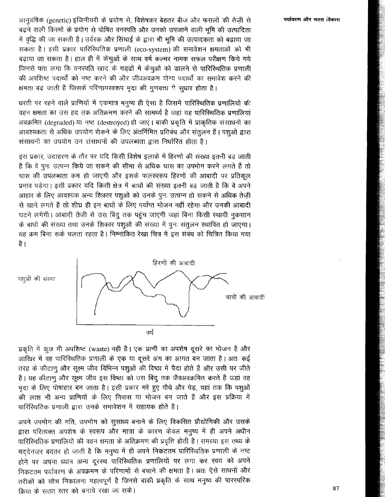आनुवंषिक (genetic) इंजिनीयरी के प्रयोग से, विशेषकर बेहतर बीज और फसलों की तेज़ी से बढ़ने वाली किस्मों के प्रयोग से पोषित वनस्पति और उनको उपजाने वाली भूमि की उत्पादिता में वृद्धि की जा सकती है। उर्वरक और सिंचाई के द्वारा भी भूमि की उत्पादकता को बढ़ाया जा सकता है। इसी प्रकार पारिस्थितिक प्रणाली (eco-system) की समावेशन क्षमताओं को भी बढ़ाया जा सकता है। हाल ही में केंचूओं के साथ वर्म कल्चर नामक सफल परीक्षण किये गये जिनसे पता लगा कि वनस्पति खाद के गड़ढों में केंचूओं को डालने से पारिस्थितिक प्रणाली की अपशिष्ट पदार्थों को नष्ट करने की और जीवअवक्रम योग्य पदार्थों का समावेश करने की क्षमता बढ़ जाती है जिसके परिणामरवरूप मृदा की गुणवत्ता में सुधार होता है।

धरती पर रहने वाले प्राणियों में एकमात्र मनुष्य ही ऐसा है जिसमें पारिस्थितिक प्रणालियों की वहन क्षमता का उस हद तक अतिक्रमण करने की सामर्थ्य है जहां यह पारिस्थितिक प्रणालियां अवक्रमित (degraded) या नष्ट (destroyed) हो जाएं। बाकी प्रकृति में प्राकृतिक संसाधनों का आवश्यकता से अधिक उपयोग रोकने के लिए अंतर्निमित प्रतिबंध और संतुलन हैं। पशुओं द्वारा संसाधनों का उपयोग उन रांसाधनों की उपलब्धता द्वारा निर्धारित होता है।

इस प्रकार, उदाहरण के तौर पर यदि किसी विशेष इलाके में हिरणों की संख्या इतनी बढ़ जाती है कि वे पुनः उत्पन्न किये जा सकने की सीमा से अधिक घास का उपभोग करने लगते हैं तो घास की उपलब्धता कम हो जाएगी और इसके फलस्वरूप हिरणों की आबादी पर प्रतिकल प्रभाव पडेगा। इसी प्रकार यदि किसी क्षेत्र में बाघों की संख्या इतनी बढ जाती है कि वे अपने आहार के लिए आवश्यक अन्य शिकार पशुओं को उनके पुनः उत्पन्न हो सकने से अधिक तेज़ी से खाने लगते हैं तो शीघ्र ही इन बाघों के लिए पर्याप्त भोजन नहीं रहेगा और उनकी आंबादी घटने लगेगी। आबादी तेजी से उस बिंदू तक पहुंच जाएगी जहां बिना किसी स्थायी नुकसान के बाघों की संख्या तथा उनके शिकार पशुओं की संख्या में पुनः संतुलन स्थापित हो जाएगा। यह क्रम बिना रूके चलता रहता है। निम्नांकित रेखा चित्र में इस संबंध को चित्रित किया गया है ।



प्रकृति में कुछ भी अपशिष्ट (waste) नहीं है। एक प्राणी का अपशेष दूसरे का भोजन है और आखिर में वह पारिस्थितिक प्रणाली के एक या दूसरे अंग का आगत बन जाता है। अतः कई तरह के कीटाणू और सूक्ष्म जीव विभिन्न पशूओं की विष्ठा में पैदा होते हैं और उसी पर जीते हैं। यह कीटाणू और सूक्ष्म जीव इस विष्ठा को उस बिंदू तक जैवअवक्रमित करते हैं जहां वह मृदा के लिए पोषाहार बन जाता है। इसी प्रकार मरे हुए पौधे और पेड़, यहां तक कि पशुओं की लाश भी अन्य प्राणियों के लिए निवास या भोजन बन जाते हैं और इस प्रक्रिया में पारिस्थितिक प्रणाली द्वारा उनके समावेशन में सहायक होते हैं।

अपने उपभोग की गति, उपभोग को सुसाध्य बनाने के लिए विकसित प्रौद्योगिकी और उसके द्वारा परित्यक्त अपशेष के स्वरूप और मात्रा के कारण केवल मनुष्य में ही अपने अधीन पारिस्थितिक प्रणालियों की वहन क्षमता के अतिक्रमण की प्रवृत्ति होती है। समस्या इस तथ्य के मददेनजर बदतर हो जाती है कि मनुष्य में ही अपने निकटतम पारिस्थितिक प्रणाली के नष्ट होने पर अपना ध्यान अन्य दूरस्थ पारिस्थितिक प्रणालियों पर लगा कर स्वयं को अपने निकटतम पर्यावरण के अवक्रमण के परिणामों से बचाने की क्षमता है। अतः ऐसे साधनों और तरीकों को सोच निकालना महत्वपूर्ण है जिनसे बाकी प्रकृति के साथ मनुष्य की पारस्परिक क्रिया के सतत स्तर को बनाये रखा जा सके।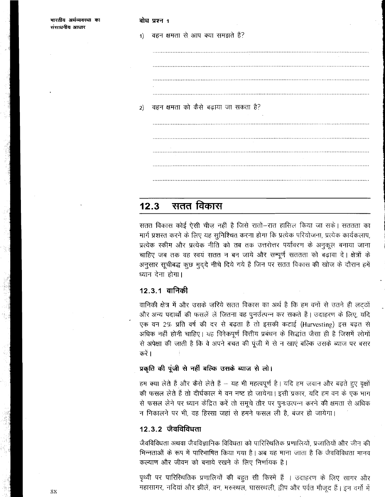| भारतीय अर्थव्यवस्था का<br>संसाधनीय आधार |    | बोध प्रश्न 1<br><b>STATE</b>          |
|-----------------------------------------|----|---------------------------------------|
|                                         | 1) | वहन क्षमता से आप क्या समझते हैं?      |
|                                         |    |                                       |
|                                         |    |                                       |
|                                         |    | $\sim$                                |
|                                         |    | वहन क्षमता को कैसे बढ़ाया जा सकता है? |
|                                         | 2) | and the control of the same           |
|                                         |    |                                       |
|                                         |    |                                       |
|                                         |    | <b>Contractor</b>                     |
|                                         |    |                                       |

### सतत विकास  $12.3$

सतत विकास कोई ऐसी चीज़ नहीं है जिसे रातों–रात हासिल किया जा सके। सततता का मार्ग प्रशस्त करने के लिए यह सुनिश्चित करना होगा कि प्रत्येक परियोजना, प्रत्येक कार्यकलाप, प्रत्येक स्कीम और प्रत्येक नीति को तब तक उत्तरोत्तर पर्यावरण के अनुकूल बनाया जाना चाहिए जब तक वह स्वयं सतत न बन जाये और सम्पूर्ण सततता को बढ़ावा दे। क्षेत्रों के अनुसार सूचीबद्ध कुछ मुदुदे नीचे दिये गये हैं जिन पर सतत विकास की खोज के दौरान हमें ध्यान देना होगा।

# <u>12.3.1 वानिकी</u>

वानिकी क्षेत्र में और उसके ज़रिये सतत विकास का अर्थ है कि हम वनों से उतने ही लट्ठों और अन्य पदार्थों की फसलें लें जितना वह पुनर्उत्पन्न कर सकते हैं। उदाहरण के लिए, यदि एक वन 2% प्रति वर्ष की दर से बढ़ता है तो इसकी कटाई (Harvesting) इस बढ़त से अधिक नहीं होनी चाहिए। यह विवेकपूर्ण वित्तीय प्रबंधन के सिद्धांत जैसा ही है जिसमें लोगों से अपेक्षा की जाती है कि वे अपने बचत की पूंजी में से न खाएं बल्कि उसके ब्याज पर बसर करें ।

# प्रकृति की पूंजी से नहीं बल्कि उसके ब्याज से लो।

हम क्या लेते हैं और कैसे लेते हैं – यह भी महत्वपूर्ण है। यदि हम जवान और बढ़ते हुए वृक्षों की फसल लेते हैं तो दीर्घकाल में वन नष्ट हो जायेगा। इसी प्रकार, यदि हम वन के एक भाग से फसल लेने पर ध्यान केंद्रित करें तो समूचे तौर पर पुनःउत्पन्न करने की क्षमता से अधिक न निकालने पर भी, वह हिस्सा जहां से हमने फसल ली है, बजर हो जायेगा।

# 12.3.2 जैवविविधता

जैवविविधता अथवा जैवविज्ञानिक विविधता को पारिस्थितिक प्रणालियों, प्रजातियों और जीन की भिन्नताओं के रूप में पारिभाषित किया गया है। अब यह माना जाता है कि जैवविविधता मानव कल्याण और जीवन को बनाये रखने के लिए निर्णायक है।

पृथ्वी पर पारिस्थितिक प्रणालियों की बहुत सी किस्में हैं । उदाहरण के लिए सागर और महासागर, नदियां और झीलें, वन, मरुस्थल, घासरथली, द्वीप और पर्वत मौजूद हैं। इन वर्गों में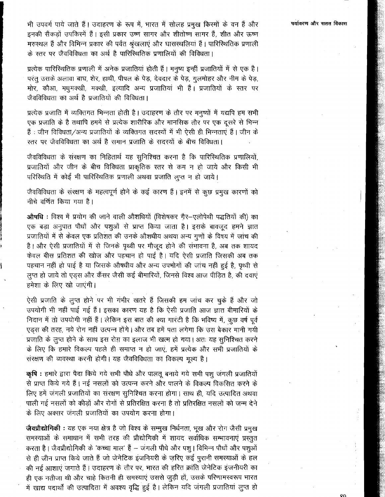भी उपवर्ग पाये जाते हैं। उदाहरण के रूप में, भारत में सोलह प्रमुख किस्मों के वन हैं और इनकी सैंकड़ों उपकिस्में हैं। इसी प्रकार उष्णं सागर और शीतोष्ण सागर हैं, शीत और ऊष्ण मरुस्थल हैं और विभिन्न प्रकार की पर्वत श्रृंखलाएं और घासस्थलियां हैं। पारिस्थितिक प्रणाली के स्तर पर जैवविविधता का अर्थ है पारिस्थितिक प्रणालियों की विविधता।

प्रत्येक पारिस्थितिक प्रणाली में अनेक प्रजातियां होती हैं। मनुष्य इन्हीं प्रजातियों में से एक है। परंतु उसके अलावा बाघ, शेर, हाथी, पीपल के पेड़, देवदार के पेड़, गुलमोहर और नीम के पेड़, मोर, कौआ, मधुमक्खी, मक्खी, इत्यादि अन्य प्रजातियां भी हैं। प्रजातियों के स्तर पर जैवविविधता का अर्थ है प्रजातियों की विविधता।

प्रत्येक प्रजाति में व्यक्तिगत भिन्नता होती है। उदाहरण के तौर पर मनुष्यों में यद्यपि हम सभी एक प्रजाति के है तथापि हममें से प्रत्येक शारीरिक और मानसिक तौर पर एक दूसरे से भिन्न हैं : जीन विविधता/अन्य प्रजातियों के व्यक्तिगत सदस्यों में भी ऐसी ही भिन्नताएं हैं | जीन के स्तर पर जैवविविधता का अर्थ है समान प्रजाति के सदस्यों के बीच विविधता।

जैवविविधता के संरक्षण का निहितार्थ यह सुनिश्चित करना है कि पारिस्थितिक प्रणालियों, प्रजातियों और जीन के बीच विविधता प्राकृतिक स्तर से कम न हो जाये और किसी भी परिस्थिति में कोई भी पारिस्थितिक प्रणाली अथवा प्रजाति लुप्त न हो जाये।

जैवविविधता के संरक्षण के महत्वपूर्ण होने के कई कारण हैं। इनमें से कुछ प्रमुख कारणों को नीचे वर्णित किया गया है।

ओषधि : विश्व में प्रयोग की जाने वाली औशधियों (विशेषकर गैर-एलोपेथी पद्धतियों की) का एक बड़ा अनुपात पौधों और पशुओं से प्राप्त किया जाता है। इसके बावजूद हमने ज्ञात प्रजातियों में से केवल एक प्रतिशत की उनके औशधीय अथवा अन्य गुणों के विषय में जांच की है। और ऐसी प्रजातियों में से जिनके पृथ्वी पर मौजूद होने की संभावना है, अब तक शायद केवल बीस प्रतिशत की खोज और पहचान हो पाई है। यदि ऐसी प्रजाति जिसकी अब तक पहचान नहीं हो पाई है या जिसके औषधीय और अन्य उपभोगों की जांच नहीं हुई है, पृथ्वी से लूप्त हो जाये तो एड्स और कैंसर जैसी कई बीमारियों, जिनसे विश्व आज पीड़ित है, की दवाएं हमेशा के लिए खो जाएंगी।

ऐसी प्रजाति के लुप्त होने पर भी गंभीर खतरे हैं जिसकी हम जांच कर चुके हैं और जो उपयोगी भी नहीं पाई गई हैं। इसका कारण यह है कि ऐसी प्रजाति आज ज्ञात बीमारियों के निदान में तो उपयोगी नहीं हैं। लेकिन इस बात की क्या गारंटी है कि भविष्य में, कूछ वर्ष पूर्व एड़स की तरह, नये रोग नहीं उत्पन्न होंगे। और तब हमें पता लगेगा कि उस बेकार मानी गयी प्रजाति के लूप्त होने के साथ इस रोग़ का इलाज भी खत्म हो गया। अतः यह सुनिश्चित करने के लिए कि हमारे विकल्प पहले ही समाप्त न हो जाएं, हमें प्रत्येक और सभी प्रजातियों के संरक्षण की व्यवस्था करनी होगी। यह जैवविविधता का विकल्प मूल्य है।

कृषि : हमारे द्वारा पैदा किये गये सभी पौधे और पालतू बनाये गये सभी पशु जंगली प्रजातियों से प्राप्त किये गये हैं। नई नसलों को उत्पन्न करने और पालने के विकल्प विकसित करने के लिए हमें जंगली प्रजातियों का सरक्षण सुनिश्चित करना होगा। साथ ही, यदि उत्पादित अथवा पाली गई नसलों को कीड़ों और रोगों से प्रतिरक्षित करना है तो प्रतिरक्षित नसलों को जन्म देने के लिए अक्सर जंगली प्रजातियों का उपयोग करना होगा।

जैवप्रौद्योगिकी : यह एक नया क्षेत्र है जो विश्व के सम्मुख निर्धनता, भूख और रोग जैसी प्रमुख समस्याओं के समाधान में सभी तरह की प्रौद्योगिकी में शायद सर्वाधिक सम्भावनाएं प्रस्तुत करता है। जैवप्रौद्योगिकी के 'कच्चा माल' हैं – जंगली पौधे और पशु। विभिन्न पौधों और पशुओं से ही जीन प्राप्त किये जाते हैं जो जेनेटिक इंजनियरी के ज़रिए कई पुरानी समस्याओं के हल की नई आशाएं जगाते हैं। उदाहरण के तौर पर, भारत की हरित क्रांति जेनेटिक इंजनीयरी का ही एक नतीजा थी और चाहे कितनी ही समस्याएं उससे जुड़ी हों, उसके परिणामस्वरूप भारत में खाद्य पदार्थों की उत्पादिता में अवश्य वृद्धि हुई है। लेकिन यदि जंगली प्रजातियां लुप्त हो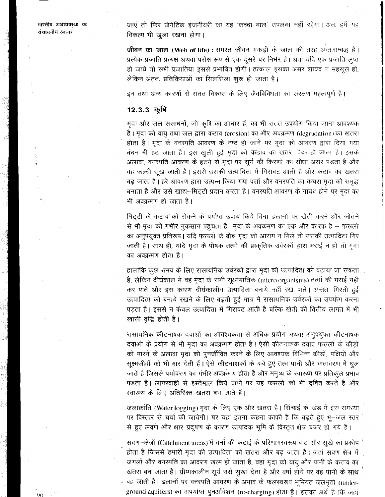भारतीय अथव्यवस्था का संसाधनीय आधार

जाएं तो फिर जेनेटिक इंजनीयरी का यह 'कच्चा माल' उपलब्ध नहीं रहेगा। अतः हमें यह विकल्प भी खुला रखना होगा।

जीवन का जाल (Web of life) : समरत जीवन मकड़ी के जाल की तरह अन्तःसम्बद्ध है। प्रत्येक प्रजाति प्रत्यक्ष अथवा परोक्ष रूप से एक दूसरे पर निर्भर है। अतः यदि एक प्रजाति लुप्त हो जाये तो सभी प्रजातियां इससे प्रभावित होंगी। तत्काल इसका असर शायद न महसूस हो, लेकिन अंततः प्रतिक्रियाओं का सिलसिला शुरू हो जाता है।

इन तथा अन्य कारणों से सतत विकास के लिए जैवविविधता का संरक्षण महत्वपूर्ण है।

### 12.3.3 कृषि

मृदा और जल संसाधनों, जो कृषि का आधार हैं, का भी सतत उपयोग किया जाना आवश्यक है। मृदा को वायु तथा जल द्वारा कटाव (crosion) का और अवक्रमण (degradation) का खतरा होता है। मृदा के वनस्पति आवरण के नष्ट हो जाने पर मृदा को आवरण द्वारा दिया गया बंधन भी हट जाता है। इस खुली हुई मृदा को कटाव का खतरा पैदा हो जाता है। इसके अलावा, वनस्पति आवरण के हटने से मृदा पर सूर्य की किरणों का सीधा असर पड़ता है और वह जल्दी सूख जाती है। इससे उसकी उत्पादिता में गिरावट आती है और कटाव का खतरा बढ़ जाता है। हरे आवरण द्वारा उत्पन्न किया गया पत्तों और वनरपति का कचरा मृदा को समृद्ध बनाता है और उसे खाद्य-मिटटी प्रदान करता है। वनस्पति आवरण के गायब होने पर मुदा का भी अवक्रमण हो जाता है।

मिटटी के कटाव को रोकने के पर्याप्त उपाय किये बिना ढलानों पर खेती करने और जोतने से भी मुदा को गंभीर नुकसान पहुंचता है। मुदा के अवक्रमण का एक और कारक है – फसलों का अनुपयुक्त प्रतिरूप। यदि फसलों के बीच मृदा को आराम न मिले तो उसकी उत्पादिता गिर जाती है। साथ ही, यादे मुदा के पोषक तत्वों की प्राकृतिक उर्वरकों द्वारा भराई न हो तो मुदा का अवक्रमण होता है।

हालांकि कुछ समय के लिए रासायनिक उर्वरकों द्वारा मुदा की उत्पादिता को बढ़ाया जा सकता है, लेकिन दीर्घकाल में वह मृदा के सभी सूक्ष्ममात्रिक (microorganisms) तत्वों की भराई नहीं कर पाते और इस कारण दीर्घकालीन उत्पादिता बनाये नहीं रख पाते। अन्ततः गिरती हुई उत्पादिता को बनाये रखने के लिए बढ़ती हुई मात्र में रासायनिक उर्वरकों का उपयोग करना पड़ता है। इससे न केवल उत्पादिता में गिरावट आती है बल्कि खेती की वित्तीय लागत में भी खासी वृद्धि होती है।

रासायनिक कीटनाषक दवाओं का आवश्यकता से अधिक प्रयोग अथवा अनुपयुक्त कीटनाषक दवाओं के प्रयोग से भी मुदा का अवक्रमण होता है। ऐसी कीटनाशक दवाएं फसलों के कीड़ों को मारने के अलावा मृदा को पुनर्जीवित करने के लिए आवश्यक विभिन्न कीड़ों, पक्षियों और सूक्ष्मजीवों को भी मार देती हैं। ऐसे कीटनाशकों के बचे हुए तत्व पानी और वातावरण में घुल जाते हैं जिससे पर्यावरण का गंभीर अवक्रमण होता है और मनुष्य के रंवारथ्य पर प्रतिकूल प्रभाव पड़ता है। लापरवाही से इस्तेमाल किये जाने पर यह फसलों को भी दूषित करते हैं और रवास्थ्य के लिए अतिरिक्त खतरा बन जाते हैं।

जलाक्रांति (Water logging) मृदा के लिए एक और खतरा है। सिचाई के खड़ में इस समस्या पर विस्तार से चर्चा की जायेगी। पर यहां इतना कहना काफी है कि बढ़ते हुए भू-जल स्तर से हुए लवण और क्षार प्रदूषण के कारण उत्पादक भूमि के विस्तृत क्षेत्र बजर हो गये हैं।

स्रवण-क्षेत्रों (Catchment areas) में वनों की कटाई के परिणामस्वरूप बाढ़ और सूखे का प्रकोप होता है जिससे हमारी मृदा की उत्पादिता को खतरा और बढ़ जाता है। जहां स्रवण क्षेत्र में जंगलों और वनस्पति का आवरण खत्म हो जाता है, वहां मृदा को वायु और पानी के कटाव का खतरा बन जाता है। ग्रीष्मकालीन सूर्य उसे सुखा देता है और वर्षा होने पर वह पानी के साथ • बह जाती है। ढलानों पर वनस्पति आवरण के अभाव के फलस्वरूप भूमिगत जलभूतों (underground aquifers) का अपर्याप्त पुनर्आवेशन (re-charging) होता है। इसका अर्थ है कि जहां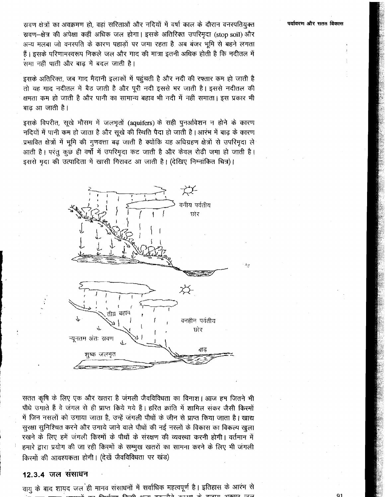स्रवण क्षेत्रों का अवक्रमण हो, वहां सरिताओं और नदियों में वर्षा काल के दौरान वनस्पतियुक्त स्रवण-क्षेत्र की अपेक्षा कहीं अधिक जल होगा। इसके अतिरिक्त उपरिमृदा (stop soil) और अन्य मलबा जो वनस्पति के कारण पहाड़ों पर जमा रहता है. अब बंजर भूमि से बहने लगता हैं। इसके परिणामस्वरूप निकले जल और गाद की मात्रा इतनी अधिक होती है कि नदीतल में .<br>समा नहीं पाती और बाढ में बदल जाती है।

इसके अतिरिक्त, जब गाद मैदानी इलाकों में पहुंचती है और नदी की रफ्तार कम हो जाती है तो यह गाद नदीतल में बैठ जाती है और पूरी नदी इससे भर जाती है। इससे नदीतल की क्षमता कम हो जाती है और पानी का सामान्य बहाव भी नदी में नहीं समाता। इस प्रकार भी बाढ आ जाती है।

इसके विपरीत, सूखे मौसम में जलभृतों (aquifers) के सही पुनर्आवेशन न होने के कारण नदियों में पानी कम हो जाता है और सूखे की रिथति पैदा हो जाती है।आरंभ में बाढ़ के कारण प्रभावित क्षेत्रों में भूमि की गुणवत्ता बढ़ जाती है क्योंकि यह अधिग्रहण क्षेत्रों से उपरिमृदा ले आती है। परंतु कुछ ही वर्षों में उपरिमृदा कट जाती है और केवल रोढ़ी जमा हो जाती है। इससे मृदा की उत्पादिता में खासी गिरावट आ जाती है। (देखिए निम्नांकित चित्र)।



सतत कृषि के लिए एक और खतरा है जंगली जैवविविधता का विनाश। आज हम जितने भी पौधे उगाते हैं वे जंगल से ही प्राप्त किये गये हैं। हरित क्रांति में शामिल संकर जैसी किस्मों में जिन नसलों को उगाया जाता है, उन्हें जंगली पौधों के जीन से प्राप्त किया जाता है। खाद्य सुरक्षा सुनिश्चित करने और उगाये जाने वाले पौधों की नई नस्लों के विकास का विकल्प खुला रखने के लिए हमें जंगली किस्मों के पौधों के संरक्षण की व्यवस्था करनी होगी। वर्तमान में हमारे द्वारा प्रयोग की जा रही किस्मों के सम्मुख खतरों का सामना करने के लिए भी जंगली किस्मों की आवश्यकता होगी। (देखें जैवविविधता पर खंड)

### 12.3.4 जल संसाधन

वायु के बाद शायद जल ही मानव संसाधनों में सर्वाधिक महत्वपूर्ण है। इतिहास के आरंभ से 

पर्यावरण और सतत विकास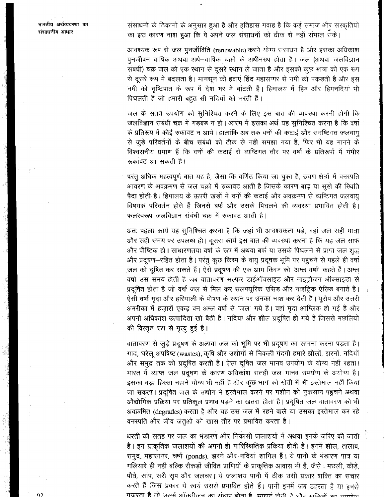संसाधनों के ठिकानों के अनुसार हुआ है और इतिहास गवाह है कि कई समाज और संस्कृतियों का इस कारण नाश हुआ कि वे अपने जल संसाधनों को ठीक से नहीं संभाल सके।

आवश्यक रूप से जल पुनर्जीविति (renewable) करने योग्य संसाधन है और इसका अधिकांश पुनर्जीवन वार्षिक अथवा अर्ध–वार्षिक चक्रों के अधीनस्थ होता है। जल (अथवा जलविज्ञान संबंधी) चक्र जल को एक स्थान से दूसरे स्थान ले जाता है और इसकी कुछ मात्रा को एक रूप से दूसरे रूप में बदलता है। मानसून की हवाएं हिंद महासागर से नमी को पकड़ती है और इस नमी को वृष्टिपात के रूप में देश भर में बांटती हैं। हिमालय में हिम और हिमनदियां भी पिघलती हैं जो हमारी बहुत सी नदियों को भरती हैं।

जल के सतत उपयोग को सुनिश्चित करने के लिए इस बात की व्यवस्था करनी होगी कि जलविज्ञान संबंधी चक्र में गड़बड़ न हो। आरंभ में इसका अर्थ यह सुनिश्चित करना है कि वर्षा के प्रतिरूप में कोई रुकावट न आये। हालांकि अब तक वनों की कटाई और समष्टिगत जलवायु से जुड़े परिवर्तनों के बीच संबंधों को ठीक से नहीं समझा गया है, फिर भी यह मानने के विश्वसनीय प्रमाण हैं कि वनों की कटाई से व्यष्टिगत तौर पर वर्षा के प्रतिरूपों में गंभीर रूकावट आ सकती है।

परंतु अधिक महत्वपूर्ण बात यह है, जैसा कि वर्णित किया जा चुका है, स्रवण क्षेत्रों में वनस्पति आवरण के अवक्रमण से जल चक्रों में रुकावट आती है जिसके कारण बाढ़ या सूखे की स्थिति पैदा होती है। हिमालय के ऊपरी खंडों में वनों की कटाई और अवक्रमण से व्यष्टिगत जलवायु विषयक परिवर्तन होते हैं जिनसे बर्फ और उसके पिघलने की व्यवस्था प्रभावित होती है। फलस्वरूप जलविज्ञान संबंधी चक्र में रुकावट आती है।

अतः पहला कार्य यह सुनिश्चित करना है कि जहां भी आवश्यकता पड़े, वहां जल सही मात्रा और सही समय पर उपलब्ध हो। दूसरा कार्य इस बात की व्यवस्था करना है कि यह जल साफ और पौष्टिक हो। साधारणतया वर्षा के रूप में अथवा बर्फ या उसके पिघलने से प्राप्त जल शुद्ध और प्रदूषण-रहित होता है। परंतु कुछ किरम के वायु प्रदूषक भूमि पर पहुंचने से पहले ही वर्षा जल को दुषित कर सकते हैं। ऐसे प्रदूषण की एक आम किस्स को 'अम्ल वर्षा' कहते हैं। अम्ल वर्षा उस समय होती है जब वातावरण सत्फुर डाईऑक्साइड और नाइट्रोजन ऑक्साइडों से प्रदूषित होता है जो वर्षा जल से मिल कर सलफ्यूरिक एसिड और नाइट्रिक ऐसिड बनाते हैं। ऐसी वर्षा मृदा और हरियाली के पोषण के स्थान पर उनका नाश कर देती है। यूरोप और उत्तरी अमरीका में हज़ारों एकड़ वन अम्ल वर्षा से 'जल' गये हैं। वहां मृदा आम्लिक हो गई है और अपनी अधिकांश उत्पादिता खो बैठी है। नदियां और झील प्रदूषित हो गये हैं जिससे मछलियों की विस्तृत रूप से मृत्यु हुई है।

वातावरण से जुड़े प्रदूषण के अलावा जल को भूमि पर भी प्रदूषण का सामना करना पड़ता है। गाद, घरेलू अपषिष्ट (wastes), कृषि और उद्योगों से निकली गंदगी हमारे झीलों, झरनों, नदियों और समुद्र तक को प्रदूषित करती है। ऐसा दूषित जल मानव उपयोग के योग्य नहीं रहता। भारत में व्याप्त जल प्रदूषण के कारण अधिकांश सतही जल मानव उपयोग के अयोग्य है। इसका बड़ा हिस्सा नहाने योग्य भी नहीं है और कुछ भाग को खेती में भी इस्तेमाल नहीं किया जा सकता। प्रदूषित जल के उद्योग में इस्तेमाल करने पर मशीन को नुकसान पहुंचने अथवा औद्योगिक प्रक्रिया पर प्रतिकूल प्रभाव पड़ने का खतरा होता है। प्रदूषित जल वातावरण को भी अवक्रमित (degrades) करता है और यह उस जल में रहने वाले या उसका इस्तेमाल कर रहे वनस्पति और जीव जंतुओं को खास तौर पर प्रभावित करता है।

धरती की सतह पर जल का भंडारण और निकासी जलाशयों में अथवा इनके ज़रिए की जाती है। इन प्राकृतिक जलाशयों की अपनी ही पारिरिथतिक प्रक्रिया होती है। इनमें झील, तालाब, समूद्र, महासागर, चष्में (ponds), झरने और नदियां शामिल हैं। ये पानी के भंडारण पात्र या गलियारे ही नहीं बल्कि सैकड़ों जीवित प्राणियों के प्राकृतिक आवास भी हैं, जैसे : मछली, कीड़े, पौधे, सांप, सरी सृप और जलचर। ये जलाशय पानी में ठीक उसी प्रकार शक्ति का संचार करते हैं जिस प्रकार ये स्वयं उससे प्रभावित होते हैं। पानी इनमें जब ठहरता है या इनसे गजरता है तो उसमें ऑक्सीजन का संचार होता है। साहार्ड डोनी है और कठिन्नें का उपमुख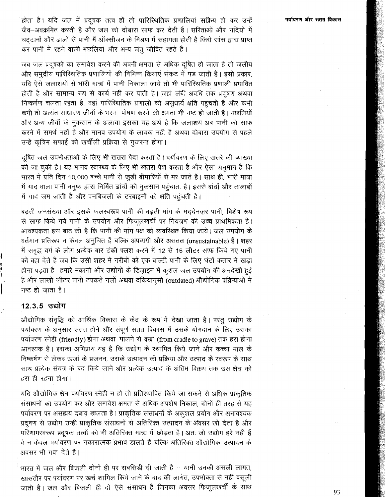ंहोता है। यदि जल में प्रदूषक तत्व हों तो पारिस्थितिक प्रणालियां सक्रिय हो कर उन्हें जैव–अवक्रमित करती हैं और जल को दोबारा साफ कर देती हैं। सरिताओं और नदियों में चटटानों और ढालों से पानी में ऑक्सीजन के मिश्रण में सहायता होती है जिसे सांस द्वारा प्राप्त कर पानी में रहने वाली मछलियां और अन्य जंतू जीवित रहते हैं।

जब जल प्रदूषकों का समावेश करने की अपनी क्षमता से अधिक दुषित हो जाता है तो जलीय और समुद्रीय पारिस्थितिक प्रणालियों की विभिन्न क्रियाएं संकट में पड़ जाती हैं। इसी प्रकार, यदि ऐसे जलाशयों से भारी मात्रा में पानी निकाला जाये तो भी पारिस्थितिक प्रणाली प्रभावित होती है और सामान्य रूप से कार्य नहीं कर पाती है। जहां लंबी अवधि तक प्रदूषण अथवा निष्कर्षण चलता रहता है, वहां पारिस्थितिक प्रणाली को असुधार्य क्षति पहुंचती है और कभी कभी तो अत्यंत साधारण जीवों के भरन-पोषण करने की क्षमता भी नष्ट हो जाती है। मछलियों और अन्य जीवों के नुकसान के अलावा इसका यह अर्थ है कि जलाशय अब पानी को साफ करने में समर्थ नहीं हैं और मानव उपयोग के लायक नहीं हैं अथवा दोबारा उपयोग से पहले उन्हें कृत्रिम सफाई की खर्चीली प्रक्रिया से गुजरना होगा।

दूषित जल उपभोक्ताओं के लिए भी खतरा पैदा करता है। पर्यावरण के लिए खतरे की व्याख्या की जा चुकी है। यह मानव स्वास्थ्य के लिए भी खतरा पेश करता है और ऐसा अनुमान है कि भारत में प्रति दिन 10,000 बच्चे पानी से जुड़ी बीमारियों से मर जाते हैं। साथ ही, भारी मात्रा में गाद वाला पानी मनुष्य द्वारा निर्मित ढांचों को नुकसान पहुंचाता है। इससे बांधों और तालाबों में गाद जम जाती है और पनबिजली के टरबाइनों को क्षति पहुंचती है।

बढ़ती जनसंख्या और इसके फलरवरूप पानी की बढ़ती मांग के मददेनज़र पानी, विशेष रूप से साफ किये गये पानी के उपयोग और फिजूलखर्ची पर नियंत्रण की उच्च प्राथमिकता है। आवश्यकता इस बात की है कि पानी की मांग पक्ष को व्यवस्थित किया जाये। जल उपयोग के वर्तमान प्रतिरूप न केवल अनुचित हैं बल्कि अपव्ययी और असतत (unsustainable) हैं। शहर में समुद्ध वर्ग के लोग प्रत्येक बार टंकी फ्लश करने में 12 से 16 लीटर साफ किये गए पानी को बहा देते हैं जब कि उसी शहर में गरीबों को एक बाल्टी पानी के लिए घंटों कतार में खड़ा होना पड़ता है। हमारे मकानों और उद्योगों के डिज़ाइन में कुशल जल उपयोग की अनदेखी हुई है और लाखों लीटर पानी टपकते नलों अथवा दकियानसी (outdated) औद्योगिक प्रक्रियाओं में नष्ट हो जाता है।

### 12.3.5 उद्योग

औद्योगिक संवृद्धि को आर्थिक विकास के केंद्र के रूप में देखा जाता है। परंतु उद्योग के पर्यावरण के अनुसार सतत होने और संपूर्ण सतत विकास में उसके योगदान के लिए उसका पर्यावरण स्नेही (friendly) होना अथवा 'पालने से कब्र' (from cradle to grave) तक हरा होना आवश्यक है। इसका अभिप्राय यह है कि उद्योग के स्थापित किये जाने और कच्चा माल के निष्कर्षण से लेकर ऊर्जा के प्रजनन, उसके उत्पादन की प्रक्रिया और उत्पाद के स्वरूप के साथ साथ प्रत्येक संयत्र के बंद किये जाने ओर प्रत्येक उत्पाद के अंतिम विक्रय तक उस क्षेत्र को हरा ही रहना होगा।

यदि औद्योगिक क्षेत्र पर्यावरण स्नेही न हो तो प्रतिस्थापित किये जा सकने से अधिक प्राकृतिक संसाधनों का उपयोग कर और समावेश क्षमता से अधिक अपशेष निकाल, दोनों ही तरह से यह पर्यावरण पर असह्यय दबाव डालता है। प्राकृतिक संसाधनों के अकुशल प्रयोग और अनावश्यक प्रदूषण से उद्योग उन्हीं प्राकृतिक संसाधनों से अतिरिक्त उत्पादन के अवसर खो देता है और परिणामस्वरूप प्रदूषक तत्वों को भी अतिरिक्त मात्रा में छोड़ता है। अतः जो उद्योग हरे नहीं हैं वे न केवल पर्यावरण पर नकारात्मक प्रभाव डालते हैं बल्कि अतिरिक्त औद्योगिक उत्पादन के अवसर भी गवां देते हैं।

भारत में जल और बिजली दोनों ही पर सबसिडी दी जाती है - यानी उनकी असली लागत, खासतौर पर पर्यावरण पर खर्च शामिल किये जाने के बाद की लागत, उपभोक्ता से नहीं वसूली जाती है। जल और बिजली ही दो ऐसे संसाधन हैं जिनका अवसर फिजूलखर्ची के साथ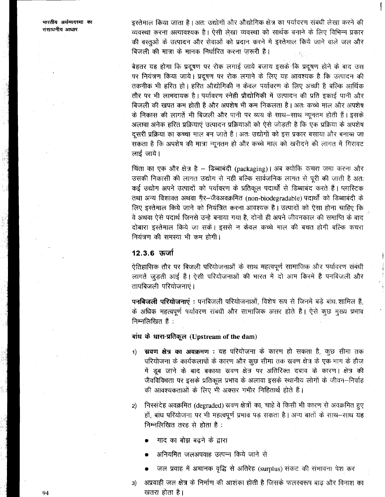भारतीय अर्थव्यवस्था का संसाधनीय आधार

इस्तेमाल किया जाता है। अतः उद्योगों और औद्योगिक क्षेत्र का पर्यावरण संबंधी लेखा करने की व्यवस्था करना अत्यावश्यक है। ऐसी लेखा व्यवस्था को सार्थक बनाने के लिए विभिन्न प्रकार की वस्तुओं के उत्पादन और सेवाओं को प्रदान करने में इस्तेमाल किये जाने वाले जल और बिजली की मात्रा के मानक निर्धारित करना ज़रूरी है।

बेहतर यह होगा कि प्रदूषण पर रोक लगाई जाये बजाय इसके कि प्रदूषण होने के बाद उस पर नियंत्रण किया जाये। प्रदूषण पर रोक लगाने के लिए यह आवश्यक है कि उत्पादन की तकनीक भी हरित हो। हरित औद्योगिकी न केवल पर्यावरण के लिए अच्छी है बल्कि आर्थिक तौर पर भी लाभदायक है। पर्यावरण स्नेही प्रौद्योगिकी में उत्पादन की प्रति इकाई पानी और बिजली की खपत कम होती है और अपशेष भी कम निकलता है। अतः कच्चे माल और अपशेष के निकास की लागतें भी बिजली और पानी पर व्यय के साथ–साथ न्यूनतम होती हैं। इसके अलावा अनेक हरित प्रक्रियाएं उत्पादन प्रक्रियाओं को ऐसे जोड़ती है कि एक प्रक्रिया के अपशेष दूसरी प्रक्रिया का कच्चा माल बन जाते हैं। अतः उद्योगों को इस प्रकार बसाया और बनास्म जा सकता है कि अपशेष की मात्रा न्यूनतम हो और कच्चे माल को खरीदने की लागत में गिरावट लाई जाये।

चिंता का एक और क्षेत्र है – डिब्बाबंदी (packaging)। अब क्योंकि कचरा जमा करना और उसकी निकासी की लागत उद्योग से नहीं बल्कि सार्वजनिक लागत से पूरी की जाती है अतः कई उद्योग अपने उत्पादों को पर्यावरण के प्रतिकूल पदार्थों से डिब्बाबंद करते हैं। प्लास्टिक तथा अन्य विशाक्त अथवा गैर-जैवअवक्रमित (non-biodegradable) पदार्थों को डिब्बाबंदी के लिए इस्तेमाल किये जाने को नियंत्रित करना आवश्यक है। उत्पादों को ऐसा होना चाहिए कि वे अथवा ऐसे पदार्थ जिनसे उन्हें बनाया गया है, दोनों ही अपने जीवनकाल की समाप्ति के बाद दोबारा इस्तेमाल किये जा सकें। इससे न केवल कच्चे माल की बचत होगी बल्कि कचरा नियंत्रण की समस्या भी कम होगी।

# 12.3.6 ऊर्जा

ऐतिहासिक तौर पर बिजली परियोजनाओं के साथ महत्वपूर्ण सामाजिक और पर्यावरण संबंधी लागतें जुड़ती आई हैं। ऐसी परियोजनाओं की भारत में दो आम किरमें हैं पनबिजली और तापबिजली परियोजनाएं।

पनबिजली परियोजनाएं : पनबिजली परियोजनाओं, विशेष रूप से जिनमें बड़े बांध शामिल हैं, के अधिक महत्वपूर्ण पर्यावरण संबंधी और सामाजिक असर होते हैं। ऐसे कूछ मूख्य प्रभाव निम्नलिखित हैं :

# बांध के धारा-प्रतिकूल (Upstream of the dam)

- स्रवण क्षेत्र का अवक्रमण : यह परियोजना के कारण हो सकता है, कुछ सीमा तक  $1)$ परियोजना के कार्यकलापों के कारण और कुछ सीमा तक स्रवण क्षेत्र के एक भाग के हौज़ में डूब जाने के बाद बकाया स्रवण क्षेत्र पर अतिरिक्त दबाव के कारण। क्षेत्र की जैवविविधता पर इसके प्रतिकूल प्रभाव के अलावा इसके स्थानीय लोगों के जीवन—निर्वाह की आवश्यकताओं के लिए भी अक्सर गंभीर निहितार्थ होते हैं।
- निस्संदेह अवक्रमित (degraded) स्रवण क्षेत्रों का, चाहे वे किसी भी कारण से अवक्रमित हुए  $2)$ हों, बांध परियोजना पर भी महत्वपूर्ण प्रभाव पड़ सकता है। अन्य बातों के साथ-साथ यह निम्नलिखित तरह से होता है:
	- गाद का बोझ बढने के द्वारा
	- अनियमित जलअपवाह उत्पन्न किये जाने से
	- जल प्रवाह में अचानक वृद्धि से अतिरेह (surplus) संकट की संभावना पेश कर
- अप्रवाही जल क्षेत्र के निर्माण की आशंका होती है जिसके फलस्वरूप बाढ़ और विनाश का  $3)$ खतरा होता है।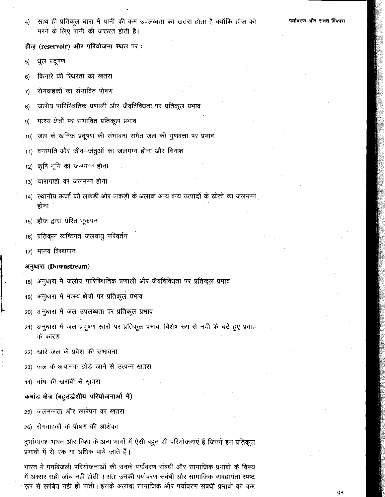साथ ही प्रतिकूल धारा में पानी की कम उपलब्धता का खतरा होता है क्योंकि हौज़ को  $\vert 4 \rangle$ भरने के लिए पानी की जरूरत होती है।

हौज़ (reservoir) और परियोजना स्थल पर:

- धूल प्रदूषण  $5)$
- किनारे की स्थिरता को खतरा  $6)$
- रोगवाहकों का संभावित पोषण  $\mathcal{I}$
- जलीय पारिस्थितिक प्रणाली और जैवविविधता पर प्रतिकूल प्रभाव  $\bf{B}$
- मत्स्य क्षेत्रों पर संभावित प्रतिकूल प्रभाव  $9)$
- जल के खनिज प्रदूषण की संभावना समेत जल की गूणवत्ता पर प्रभाव  $10)$
- 'वनस्पति और जीव-जंतुओं का जलमग्न होना और विनाश  $11)$
- कृषि भूमि का जलमग्न होना  $12)$
- चारागाहों का जलमग्न होना  $13)$
- 14) स्थानीय ऊर्जा की लकड़ी ओर लकड़ी के अलावा अन्य वन्य उत्पादों के स्रोतों का जलमग्न होना
- 15) हौज़ द्वारा प्रेरित भूकंपन
- 16) प्रतिकूल व्यष्टिगत जलवायु परिवर्तन
- 17) मानव विस्थापन

### अनुधारा (Downstream)

- 18) अनुधारा में जलीय पारिस्थितिक प्रणाली और जैवविविधता पर प्रतिकूल प्रभाव
- अनुधारा में मत्स्य क्षेत्रों पर प्रतिकूल प्रभाव  $19)$
- अनुधारा में जल उपलब्धता पर प्रतिकूल प्रभाव  $20)$
- 21) अनुधारा में जल प्रदूषण स्तुरों पर प्रतिकूल प्रभाव, विशेष रूप से नदी के घटे हुए प्रवाह के कारण
- 22) खारे जल के प्रवेश की संभावना
- जल के अचानक छोडे जाने से उत्पन्न खतरा  $23)$
- 14) बांध की खराबी से खतरा

### कमांड क्षेत्र (बहुउद्धेशीय परियोजनाओं में)

- 25) जलमग्नता और खारेपन का खतरा
- 26) रोगवाहकों के पोषण की आशंका

दुर्भाग्यवश भारत और विश्व के अन्य भागों में ऐसी बहुत सी परियोजनाएं हैं जिनमें इन प्रतिकूल प्रभावों में से एक या अधिक पाये जाते हैं।

भारत में पनबिजली परियोजनाओं की उनके पर्यावरण संबंधी और सामाजिक प्रभावों के विषय में अक्सर सही जांच नहीं होती । अतः उनकी पर्यावरण संबंधी और सामाजिक व्यवहार्यता स्पष्ट रूप से साबित नहीं हो पाती। इसके अलावा सामाजिक और पर्यावरण संबंधी प्रभावों को कम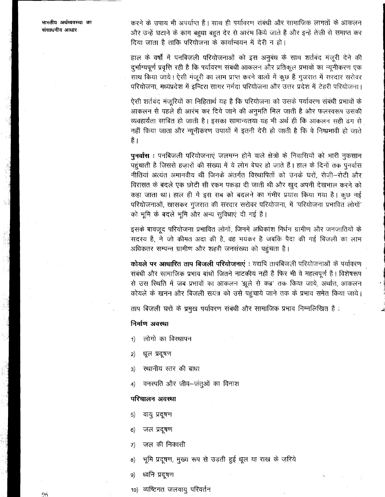भारतीय अर्थव्यवस्था का संसाधनीय आधार

करने के उपाय भी अपर्याप्त हैं। साथ ही पर्यावरण संबंधी और सामाजिक लागतों के आकलन और उन्हें घटाने के काम बह़्धा बहुत देर से आरंभ किये जाते हैं और इन्हें तेज़ी से समाप्त कर दिया जाता है ताकि परियोजना के कार्यान्वयन में देरी न हो।

हाल के वर्षों में पनबिजली परियोजनाओं को इस अनुबंध के साथ शर्तबंद मंजूरी देने की दुर्भाग्यपूर्ण प्रवृत्ति रही है कि पर्यावरण संबंधी आकलन और प्रतिकूल प्रभावों का न्यूनीकरण एक साथ किया जाये। ऐसी मंजूरी का लाभ प्राप्त करने वालों में कुछ हैं गुजरात में सरदार सरोवर .<br>परियोजना, मध्यप्रदेश में इन्दिरा सागर नर्मदा परियोजना और उत्तर प्रदेश में टेहरी परियोजना।

ऐसी शर्तबंद मंजूरियों का निहितार्थ यह है कि परियोजना को उसके पर्यावरण संबंधी प्रभावों के आकलन से पहले ही आरंभ कर दिये जाने की अनुमति मिल जाती है और फलस्वरूप उसकी व्यवहार्यता साबित हो जाती है। इसका सामान्यतया यह भी अर्थ ही कि आकलन सही ढंग से नहीं किया जाता और न्यूनीकरण उपायों में इतनी देरी हो जाती है कि वे निष्प्रभावी हो जाते है ।

पुनर्वास : पनबिजली परियोजनाएं जलमग्न होने वाले क्षेत्रों के निवासियों को भारी नुकसान पहुंचाती है जिससे हजारों की संख्या में ये लोग बेघर हो जाते हैं। हाल के दिनों तक पुनर्वास नीतियां अत्यंत अमानवीय थीं जिनके अंतर्गत विस्थापितों को उनके घरों, रोजी-रोटी और विरासत के बदले एक छोटी सी रकम पकड़ा दी जाती थी और खुद अपनी देखभाल करने को कहा जाता था। हाल ही में इस सब को बदलने का गंभीर प्रयास किया गया है। कुछ नई परियोजनाओं, खासकर गुजरात की सरदार सरोवर परियोजना, में 'परियोजना प्रभावित लोगों' को भूमि के बदले भूमि और अन्य सूविधाएं दी गई हैं।

इसके बावजूद परियोजना प्रभावित लोगों, जिनमें अधिकांश निर्धन ग्रामीण और जनजातियों के सदस्य हैं, ने जो कीमत अदा की है, वह भयंकर है जबकि पैदा की गई बिजली का लाभ अधिकतर सम्पन्न ग्रामीण और शहरी जनसंख्या को पहुंचता है।

कोयले पर आधारित ताप बिजली परियोजनाएं : यद्यपि तापबिजली परियोजनाओं के पर्यावरण संबंधी और सामाजिक प्रभाव बांधों जितने नाटकीय नहीं हैं फिर भी वे महत्वपूर्ण हैं। विशेषरूप से उस स्थिति में जब प्रभावों का आकलन 'झूले से कब्र' तक किया जाये, अर्थात, आकलन कोयले के खनन और बिजली सयंत्र को उसे पहुंचाये जाने तक के प्रभाव समेत किया जाये।

ताप बिजली घरों के प्रमुख पर्यावरण संबंधी और सामाजिक प्रभाव निम्नलिखित हैं :

### निर्माण अवस्था

- लोगों का विस्थापन  $1)$
- धूल प्रदूषण  $2)$
- स्थानीय स्तर की बाधा  $3)$
- वनस्पति और जीव–जंतुओं का विनाश  $\vert 4 \rangle$

### परिचालन अवस्था

- $5)$ वायु प्रदूषण
- जल प्रदूषण  $6)$
- जल की निकासी  $7)$
- भूमि प्रदूषण, मुख्य रूप से उड़ती हुई धूल या राख के ज़रिये  $\vert 8\rangle$
- ध्वनि प्रदूषण  $9)$
- 10) व्यष्टिगत जलवायु परिवर्तन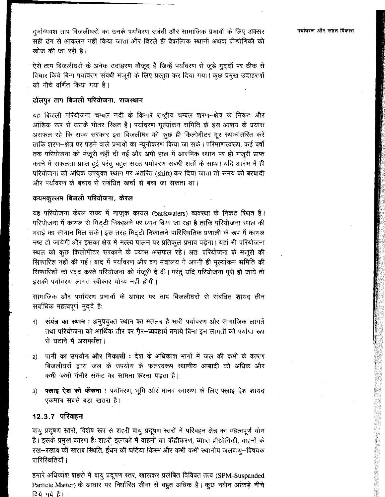दुर्भाग्यवश ताप बिजलीघरों का उनके पर्यावरण संबंधी और सामाजिक प्रभावों के लिए अक्सर ्<br>सही ढंग से आकलन नहीं किया जाता और विरले ही वैकल्पिक स्थानों अथवा प्रौद्योगिकी की खोज़ की जा रही है।

ऐसे ताप बिजलीघरों के अनेक उदाहरण मौजूद हैं जिन्हें पर्यावरण से जुड़े मुद्दों पर ठीक से विचार किये बिना पर्यावरण संबंधी मंजूरी के लिए प्रस्तुत कर दिया गया। कुछ प्रमुख उदाहरणों को नीचे वर्णित किया गया है।

## ढोलपुर ताप बिजली परियोजना, राजस्थान

यह बिजली परियोजना चम्बल नदी के किनारे राष्ट्रीय चम्बल शरण-क्षेत्र के निकट और आंशिक रूप से उसके भीतर रिथत है। पर्यावरण मूल्यांकन समिति के इस आशय के प्रयास असफल रहे कि राज्य सरकार इस बिजलीघर को कूछ ही किलोमीटर दूर स्थानांतरित करे ताकि शरण-क्षेत्र पर पड़ने वाले प्रभावों का न्यूनीकरण किया जा सके। परिमाणस्वरूप, कई वर्षो तक परियोजना को मंजूरी नहीं दी गई और अभी हाल में आरंभिक स्थान पर ही मंजूरी प्राप्त करने में सफलता प्राप्त हुई परंतु बहुत सख्त पर्यावरण संबंधी शर्तो के साथ। यदि आरंभ में ही परियोजना को अधिक उपयुक्त स्थान पर अंतरित (shift) कर दिया जाता तो समय की बरबादी और पर्यावरण के बचाव से संबंधित खर्चों से बचा जा सकता था।

### कयमकुल्लम बिजली परियोजना, केरल

यह परियोजना केरल राज्य में नाजुक कायल (backwaters) व्यवस्था के निकट स्थित है। परियोजना में कायल से मिट्टी निकालने पर ध्यान दिया जा रहा है ताकि परियोजना स्थल की भराई का सामान मिल सके। इस तरह मिट्टी निकालने पारिस्थितिक प्रणाली के रूप में कायल नष्ट हो जायेगी और इसका क्षेत्र में मत्स्य पालन पर प्रतिकूल प्रभाव पड़ेगा। यहां भी परियोजना स्थल को कुछ किलोमीटर सरकाने के प्रयास असफल रहे। अतः परियोजना के मजूरी की सिफारिश नहीं की गई। बाद में पर्यावरण और वन मंत्रालय ने अपनी ही मूल्यांकन समिति की सिफारिशों को रदद करते परियोजना को मंजूरी दे दी। परंतु यदि परियोजना पूरी हो जाये तो इसकी पर्यावरण लागत स्वीकार योग्य नहीं होगी।

सामाजिक और पर्यावरण प्रभावों के आधार पर ताप बिजलीघरों से संबंधित शायद तीन सर्वाधिक महत्वपूर्ण मुद्दे हैं:

- ं संयंत्र का स्थान : अनुपयुक्त स्थान का मतलब है भारी पर्यावरण और सामाजिक लागते  $1)$ तथा परियोजना को आर्थिक तौर पर गैर-व्यवहार्य बनाये बिना इन लागतों को पर्याप्त रूप से घटाने में असमर्थता।
- पानी का उपयोग और निकासी : देश के अधिकांश भागों में जल की कमी के कारण  $2)$ बिजलीघरों द्वारा जल के उपयोग के फलस्वरूप स्थानीय आबादी को अधिक और कभी-कभी गंभीर संकट का सामना करना पड़ता है।
- 3) फ्लाइ ऐश को फेंकना : पर्यावरण, भूमि और मानव स्वास्थ्य के लिए फ्लाइ ऐश शायद एकमात्र सबसे बड़ा खतरा है।

## 12.3.7 परिवहन

वायु प्रदूषण स्तरों, विशेष रूप से शहरी वायु प्रदूषण स्तरों में परिवहन क्षेत्र का महत्वपूर्ण योग है। इसके प्रमुख कारण हैं: शहरी इलाकों में वाहनों का केंद्रीकरण, व्याप्त प्रौद्योगिकी, वाहनों के रख-रखाव की खराब रिथति, ईधन की घटिया किस्म और कभी कभी स्थानीय जलवायू-विषयक पारिस्थितियाँ।

हमारे अधिकांश शहरों में वायु प्रदूषण स्तर, खासकर प्रलंबित विविक्त तत्व (SPM-Suspanded Particle Matter) के आधार पर निर्धारित सीमा से बहुत अधिक है। कुछ नवीन आंकड़े नीचे दिये गये हैं।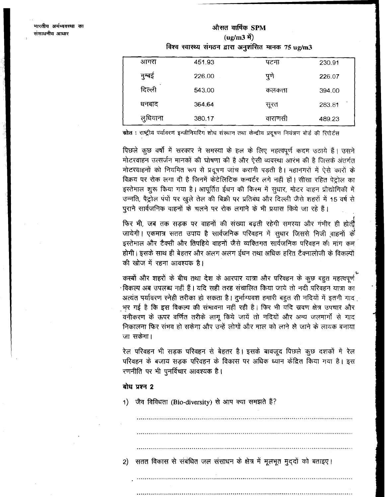# औसत वार्षिक SPM (ug/m3 में) विश्व स्वास्थ्य संगठन द्वारा अनुशंसित मानक 75 ug/m3

| आगरा     | 451.93 | पटना    | 230.91 |
|----------|--------|---------|--------|
| मुम्बइ   | 226.00 | पुणे    | 226.07 |
| दिल्ली   | 543.00 | कलकत्ता | 394.00 |
| धनबाद    | 364.64 | सूरत    | 283.81 |
| लुधियाना | 380.17 | वाराणसा | 489.23 |

स्रोत : राष्ट्रीय पर्यावरण इन्जीनियरिंग शोध संस्थान तथा केन्द्रीय प्रदूषण नियंत्रण बोर्ड की रिपोर्टस

पिछले कुछ वर्षों में सरकार ने समस्या के हल के लिए महत्वपूर्ण कदम उठाये हैं। उसने मोटरवाहन उत्सर्जन मानकों की घोषणा की है और ऐसी व्यवस्था आरंभ की है जिसके अंतर्गत मोटरवाहनों को नियमित रूप से प्रदूषण जांच करानी पड़ती है। महानगरों में ऐसे कारों के विक्रय पर रोक लगा दी है जिनमें केटेलिटिक कन्वर्टर लगे नहीं हों। सीसा रहित पेट्रोल का इस्तेभाल शुरू किया गया है। आपूर्तित ईधन की किस्म में सुधार, मोटर वाहन प्रौद्योगिकी में उन्नति, पैट्रोल पंपों पर खुले तेल की बिक्री पर प्रतिबंध और दिल्ली जैसे शहरों में 15 वर्ष से पुराने सार्वजनिक वाहनों के चलने पर रोक लगाने के भी प्रयास किये जा रहे हैं।

फिर भी, जब तक सड़क पर वाहनों की संख्या बढ़ती रहेगी समस्या और गंभीर ही होती जायेगी। एकमात्र सतत उपाय है सार्वजनिक परिवहन में सुधार जिससे निजी वाहनों के इस्तेमाल और टैक्सी और तिपहिये वाहनों जैसे व्यक्तिगत सार्वजनिक परिवहन की मांग कम होगी। इसके साथ ही बेहतर और अलग अलग ईधन तथा अधिक हरित टैक्नालोजी के विकल्पों की खोज में रहना आवश्यक है।

कस्बों और शहरों के बीच तथा देश के आरपार यात्रा और परिवहन के कुछ बहुत महत्वपूर्ण विकल्प अब उपलब्ध नहीं हैं। यदि सही तरह संचालित किया जाये तो नदी परिवहन यात्रा का अत्यंत पर्यावरण स्नेही तरीका हो सकता है। दुर्भाग्यवश हमारी बहुत सी नदियों में इतनी गाद भर गई है कि इस विकल्प की संभावना नहीं रही है। फिर भी यदि स्रवण क्षेत्र उपचार और वनीकरण के ऊपर वर्णित तरीके लागू किये जायें तो नदियों और अन्य जलमार्गो से गाद निकालना फिर संभव हो सकेगा और उन्हें लोगों और माल को लाने ले जाने के लायक बनाया जा सकेगा।

रेल परिवहन भी सड़क परिवहन से बेहतर है। इसके बावजूद पिछले कुछ दशकों में रेल परिवहन के बजाय सड़क परिवहन के विकास पर अधिक ध्यान केंद्रित किया गया है। इस रणनीति पर भी पुनर्विचार आवश्यक है।

## बोध प्रश्न 2

1) जैव विविधता (Bio-diversity) से आप क्या समझते हैं?

2) सतत विकास से संबंधित जल संसाधन के क्षेत्र में मूलभूत मुद्दों को बताइए।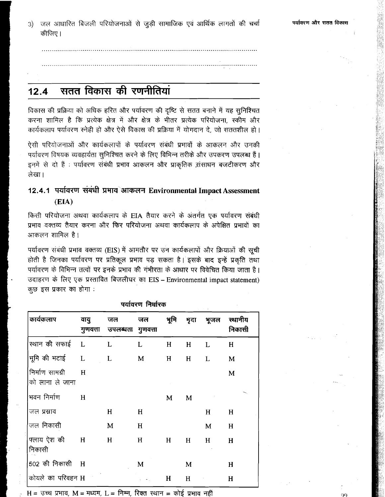जल आधारित बिजली परियोजनाओं से जुड़ी सामाजिक एवं आर्थिक लागतों की चर्चा  $3)$ कीजिए।

### $12.4$

विकास की प्रक्रिया को अधिक हरित और पर्यावरण की दृष्टि से सतत बनाने में यह सुनिश्चित करना शामिल है कि प्रत्येक क्षेत्र में और क्षेत्र के भीतर प्रत्येक परियोजना, स्कीम और कार्यकलाप पर्यावरण स्नेही हो और ऐसे विकास की प्रक्रिया में योगदान दे, जो सततशील हो।

ऐसी परियोजनाओं और कार्यकलापों के पर्यावरण संबंधी प्रभावों के आकलन और उनकी पर्यावरण विषयक व्यवहार्यता सुनिश्चित करने के लिए विभिन्न तरीके और उपकरण उपलब्ध हैं। इनमें से दो हैं : पर्यावरण संबंधी प्रभाव आकलन और प्राकृतिक संसाधन बजटीकरण और लेखा।

# 12.4.1 पर्यावरण संबंधी प्रभाव आकलन Environmental Impact Assessment  $(EIA)$

किसी परियोजना अथवा कार्यकलाप के EIA तैयार करने के अंतर्गत एक पर्यावरण संबंधी प्रभाव वक्तव्य तैयार करना और फिर परियोजना अथवा कार्यकलाप के अपेक्षित प्रभावों का आकलन शामिल है।

पर्यावरण संबंधी प्रभाव वक्तव्य (EIS) में आमतौर पर उन कार्यकलापों और क्रियाओं की सूची होती है जिनका पर्यावरण पर प्रतिकूल प्रभाव पड़ सकता है। इसके बाद इन्हें प्रकृति तथा पर्यावरण के विभिन्न तत्वों पर इनके प्रभाव की गंभीरता के आधार पर विवेचित किया जाता है। उदाहरण के लिए एक प्रस्तावित बिजलीघर का EIS - Environmental impact statement) कुछ इस प्रकार का होगा :

|                                    |                  |                | 991939 199139  |           |             |      |                   |
|------------------------------------|------------------|----------------|----------------|-----------|-------------|------|-------------------|
| कार्यकलाप                          | वायु<br>गुणवत्ता | जल<br>उपलब्धता | जल<br>गुणवत्ता | भूमि      | मृदा        | भूजल | स्थानीय<br>निकासी |
| स्थान की सफाई                      | $\mathbf{L}$     | L              | L              | $H_{\rm}$ | H           | L    | H                 |
| भूमि की भटाई                       | L                | L              | M              | H         | H           | L    | M                 |
| निर्माण सामग्री<br>को लाना ले जाना | H                |                |                |           |             |      | M                 |
| भवन निर्माण                        | H                |                |                | M         | M           |      |                   |
| जल प्रस्राव                        |                  | H              | H              |           |             | H    | H                 |
| जल निकासी                          |                  | M              | H              |           |             | M    | H                 |
| फ्लाय ऐश की<br>निकासी              | H                | H              | H              | H         | H           | H    | H                 |
| 502 की निकासी                      | H                |                | M              |           | M           |      | H                 |
| कोयले का परिवहन H                  |                  |                |                | H         | $H_{\rm 2}$ |      | H                 |

पर्यातरण निर्धारक

H = उच्च प्रभाव, M = मध्यम, L = निम्न, रिक्त स्थान = कोई प्रभाव नहीं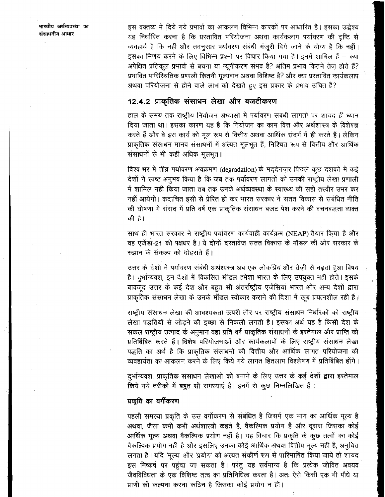भारतीय अर्थव्यवस्था का संसाधनीय आधार

इस वक्तव्य में दिये गये प्रभावों का आकलन विभिन्न कारकों पर आधारित है। इसका उद्धेश्य यह निर्धारित करना है कि प्रस्तावित परियोजना अथवा कार्यकलाप पर्यावरण की दृष्टि से व्यवहार्य है कि नहीं और तदनुसार पर्यावरण संबंधी मंजूरी दिये जाने के योग्य है कि नहीं। इसका निर्णय करने के लिए विभिन्न प्रश्नों पर विचार किया गया है। इनमें शामिल हैं – क्या अपेक्षित प्रतिकूल प्रभावों से बचना या न्यूनीकरण संभव है? अंतिम प्रभाव कितने तेज होते हैं? प्रभावित पारिस्थितिक प्रणाली कितनी मूल्यवान अथवा विशिष्ट है? और क्या प्रस्तावित कार्यकलाप अथवा परियोजना से होने वाले लाभ को देखते हुए इस प्रकार के प्रभाव उचित हैं?

# 12.4.2 प्राकृतिक संसाधन लेखा और बजटीकरण

हाल के समय तक राष्ट्रीय नियोजन अभ्यासों में पर्यावरण संबंधी लागतों पर शायद ही ध्यान दिया जाता था। इसका कारण यह है कि नियोजन का काम वित्त और अर्थशास्त्र के विशेषज्ञ करते हैं और वे इस कार्य को मूल रूप से वित्तीय अथवा आर्थिक संदर्भ में ही करते हैं। लेकिन प्राकृतिक संसाधन मानव संसाधनों में अत्यंत मूलभूत हैं, निश्चित रूप से वित्तीय और आर्थिक संसाधनों से भी कहीं अधिक मूलभूत।

विश्व भर में तीव्र पर्यावरण अवक्रमण (degradation) के मद्देनज़र पिछले कुछ दशकों में कई देशों ने स्पष्ट अनुभव किया है कि जब तक पर्यावरण लागतों को उनकी राष्ट्रीय लेखा प्रणाली में शामिल नहीं किया जाता तब तक उनके अर्थव्यवस्था के स्वास्थ्य की सही तस्वीर उभर कर नहीं आयेगी। कदाचित इसी से प्रेरित हो कर भारत सरकार ने सतत विकास से संबंधित नीति की घोषणा में संसद में प्रति वर्ष एक प्राकृतिक संसाधन बजट पेश करने की वचनबद्धता व्यक्त की है।

साथ ही भारत सरकार ने राष्ट्रीय पर्यावरण कार्यवाही कार्यक्रम (NEAP) तैयार किया है और वह एजेंडा-21 की पक्षधर है। ये दोनों दरतावेज़ सतत विकास के मॉडल की ओर सरकार के रुझान के संकल्प को दोहराते हैं।

उत्तर के देशों में पर्यावरण संबंधी अर्थशास्त्र अब एक लोकप्रिय और तेज़ी से बढ़ता हुआ विषय है। दुर्भाग्यवश, इन देशों में विकसित मॉडल हमेशा भारत के लिए उपयुक्त नहीं होते। इसके बावजूद उत्तर के कई देश और बहुत सी अंतर्राष्ट्रीय एजेंसियां भारत और अन्य देशों द्वारा प्राकृतिक संसाधन लेखा के उनके मॉडल स्वीकार कराने की दिशा में खूब प्रयत्नशील रही हैं।

राष्ट्रीय संसाधन लेखा की आवश्यकता ऊपरी तौर पर राष्ट्रीय संसाधन निर्धारकों को राष्ट्रीय लेखा पद्धतियों से जोड़ने की इच्छा से निकली लगती है। इसका अर्थ यह है किसी देश के सकल राष्ट्रीय उत्पाद के अनुमान वहां प्रति वर्ष प्राकृतिक संसाधनों के इस्तेमाल और प्राप्ति को प्रतिबिंबित करते हैं। विशेष परियोजनाओं और कार्यकलापों के लिए राष्ट्रीय संसाधन लेखा पद्धति का अर्थ है कि प्राकृतिक संसाधनों की वित्तीय और आर्थिक लागत परियोजना की व्यवहार्यता का आकलन करने के लिए किये गये लागत हितलाभ विश्लेषण में प्रतिबिंबित होंगे।

दुर्भाग्यवश, प्राकृतिक संसाधन लेखाओं को बनाने के लिए उत्तर के कई देशों द्वारा इस्तेमाल किये गये तरीकों में बहुत सी समस्याएं है। इनमें से कुछ निम्नलिखित हैं:

### प्रकृति का वर्गीकरण

पहली समस्या प्रकृति के उस वर्गीकरण से संबंधित है जिसमें एक भाग का आर्थिक मूल्य है अथवा, जैसा कभी कभी अर्थशास्त्री कहते हैं, वैकल्पिक प्रयोग हैं और दूसरा जिसका कोई आर्थिक मूल्य अथवा वैकल्पिक प्रयोग नहीं है। यह विचार कि प्रकृति के कुछ तत्वों का कोई वैकल्पिक प्रयोग नहीं है और इसलिए उनका कोई आर्थिक अथवा वित्तीय मूल्य नहीं है, अनुचित लगता है। यदि 'मूल्य' और 'प्रयोग' को अत्यंत संकीर्ण रूप से पारिभाषित किया जाये तो शायद इस निष्कर्ष पर पहुंचा जा सकता है। परंतु यह सर्वमान्य है कि प्रत्येक जीवित अवयव जैवविविधता के एक विशिष्ट तत्व का प्रतिनिधित्व करता है। अतः ऐसे किसी एक भी पौधे या प्राणी की कल्पना करना कठिन है जिसका कोई प्रयोग न हो।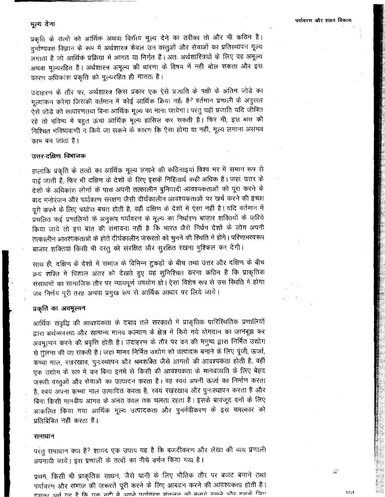### मूल्य देना

प्रकृति के तत्वों को आर्थिक अथवा वित्तीय मूल्य देने का तरीका तो और भी कठिन है। दुर्भाग्यवश विज्ञान के रूप में अर्थशास्त्र केवल उन वस्तुओं और सेवाओं का प्रतिस्थापन मूल्य लगाता है जो आर्थिक प्रक्रिया में आगत या निर्गत हैं। अतः अर्थशारित्रयों के लिए वह अमूल्य अथवा मूल्यरहित है। अर्थशास्त्र अमूल्य की धारणा के विषय में नहीं बोल सकता और इस कारण अधिकांश प्रकृति को मूल्यरहित ही मानता है।

उदाहरण के तौर पर, अर्थशास्त्र किस प्रकार एक ऐसे प्रजाति के पक्षी के अंतिम जोड़े का मूल्यांकन करेगा जिसकी वर्तमान में कोई आर्थिक क्रिया नईं। है? वर्तमान प्रणाली के अनुसार ऐसे जोड़े को साधारणतथा बिना आर्थिक मूल्य का माना जायेगा। परंतु यही प्रजाति यदि जीवित रहे तो भविष्य में बहुत ऊंचा आर्थिक मूल्य हासिल कर सकती है। फिर भी, इस बात की निश्चित भविष्यवाणी न किये जा सकने के कारण कि ऐसा होगा या नहीं, मूल्य लगाना असंभव काम बन जाता है।

## उत्तर-दक्षिण विभाजक

हालांकि प्रकृति के तत्वों का आर्थिक मूल्य लगाने की कठिनाइयां विश्व भर में समान रूप से पाई जाती हैं, फिर भी दक्षिण के देशों के लिए इसके निहितार्थ कहीं अधिक हैं। जहां उत्तर के देशों के अधिकांश लोगों के पास अपनी तत्कालीन बुनियादी आवश्यकताओं को पूरा करने के बाद मनोरंजन और पर्यावरण संरक्षण जैसी दीर्घकालीन आवश्यकताओं पर खर्च करने की इच्छा पूरी करने के लिए पर्याप्त बचत होती है, वहीं दक्षिण के देशों में ऐसा नहीं है। यदि वर्तमान में ...<br>प्रचलित कई प्रणालियों के अनुरूप पर्यावरण के मूल्य का निर्धारण बाज़ार शक्तियों के ज़रिये किया जाये तो इस बात की संभावना नहीं है कि भारत जैसे निर्धन देशों के लोग अपनी तत्कालीन आवश्यकताओं के होते दीर्घकालीन ज़रूरतों को चुनने की स्थिति में होंगे। परिणामस्वरूप बाज़ार शक्तियां किसी भी वस्तु को संरक्षित और सुरक्षित रखना मुश्किल कर देंगी।

साथ ही, दक्षिण के देशों में समाज के विभिन्न टुकड़ों के बीच तथा उत्तर और दक्षिण के बीच क्रथ शक्ति में विशाल अंतर को देखते हुए यह सुनिश्चित करना कठिन है कि प्राकृतिक संसाधनों का सामाजिक तौर पर न्यायपूर्ण उपयोग हो। ऐसा विशेष रूप से उस स्थिति में होगा जब निर्णय पूरी तरह अथवा प्रमुख रूप से आर्थिक आधार पर लिये जायें।

### प्रकृति का अवमूल्यन

आर्थिक संवृद्धि की आवश्यकता के दबाव तले सरकारों में प्राकृतिक पारिस्थितिक प्रणालियों द्वारा अर्थव्यवस्था और सामान्य मानव कल्याण के क्षेत्र में किये गये योगदान का जानबूझ कर अवमूल्यन करने की प्रवृत्ति होती है। उदाहरण के तौर पर वन की मनुष्य द्वारा निर्मित उद्योग से तुलना की जा सकती है। जहां मानव निर्मित उद्योग को उत्पादक बनाने के लिए पूंजी, ऊर्जा, कच्चा माल, रखरखाव, पुनःस्थापन और श्रमशक्ति जैसे आगतों की आवश्यकता होती है, वहीं एक उद्योग के रूप में वन बिना इनमें से किसी की आवश्यकता के मानवजाति के लिए बेहद जरूरी वस्तुओं और सेवाओं का उत्पादन करता है। वह स्वयं अपनी ऊर्जा का निर्माण करता है, स्वयं अपना कच्चा माल उत्पादित करता है, स्वयं रखरखाव और पुनःस्थापन करता है और बिना किसी मानवीय आगत के अनंत काल तक चलता रहता है। इसके बावजूद वनों के लिए आकलित किया गया आर्थिक मूल्य उत्पादकता और पुनर्नवीकरण के इस चमत्कार को प्रतिबिंबित नहीं करता है।

### समाधान

परंतु समाधान क्या है? शायद एक उपाय यह है कि बजटीकरण और लेखा की व्यय प्रणाली अपनायी जाये। इस प्रणाली के तत्वों का नीचे वर्णन किया गया है।

प्रथम, किसी भी प्राकृतिक साधन, जैसे पानी के लिए भौतिक तौर पर बजट बनाने तथा पर्यावरण और समाज की ज़रूरतें पूरी करने के लिए आबंटन करने की आवश्यकता होती है। प्राक्त 219 मन है कि एक नदी में अपने पर्यावरण संवलन को बनाये रखने थौर समर्फ लिए

أتقتن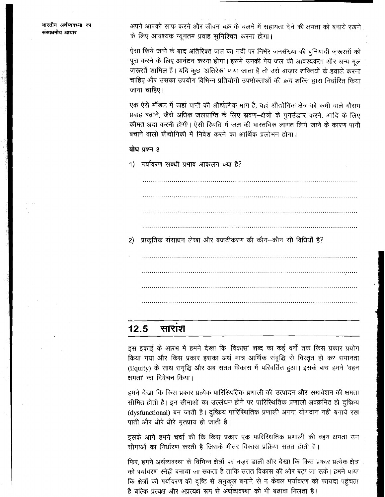अपने आपको साफ करने और जीवन चक्र के चलने में सहायता देने की क्षमता को बनाये रखने के लिए आवश्यक न्यूनतम प्रवाह सुनिश्चित करना होगा।

ऐसा किये जाने के बाद अतिरिक्त जल का नदी पर निर्भर जनसंख्या की बुनियादी ज़रूरतों को पूरा करने के लिए आवंटन करना होगा। इसमें उनकी पेय जल की आवश्यकता और अन्य मूल ज़रूरतें शामिल हैं। यदि कुछ 'अतिरेक' पाया जाता है तो उसे बाज़ार शक्तियों के हवाले करना चाहिए और उसका उपयोग विभिन्न प्रतियोगी उपभोक्ताओं की क्रय शक्ति द्वारा निर्धारित किया जाना चाहिए।

एक ऐसे मॉडल में जहां पानी की औद्योगिक मांग है, वहां औद्योगिक क्षेत्र को कमी वाले मौसम प्रवाह बढ़ाने, जैसे अधिक जलप्राप्ति के लिए स्रवण-क्षेत्रों के पुनर्उद्धार करने, आदि के लिए कीमत अदा करनी होगी। ऐसी स्थिति में जल की वास्तविक लागत लिये जाने के कारण पानी बचाने वाली प्रौद्योगिकी में निवेश करने का आर्थिक प्रलोभन होगा।

## बोध प्रश्न 3

 $2)$ 

1) पर्यावरण संबंधी प्रभाव आकलन क्या है?

प्राकृतिक संसाधन लेखा और बजटीकरण की कौन–कौन सी विधियाँ हैं?

#### $12.5$ साराश

इस इकाई के आरंभ में हमने देखा कि 'विकास' शब्द का कई वर्षों तक किस प्रकार प्रयोग किया गया और किस प्रकार इसका अर्थ मात्र आर्थिक संवृद्धि से विस्तृत हो कर समानता (Equity) के साथ समृद्धि और अब सतत विकास में परिवर्तित हुआ। इसके बाद हमने 'वहन क्षमता' का विवेचन किया।

हमने देखा कि किस प्रकार प्रत्येक पारिस्थितिक प्रणाली की उत्पादन और समावेशन की क्षमता सीमित होती है। इन सीमाओं का उल्लंघन होने पर पारिस्थितिक प्रणाली अवक्रमित हो दुष्क्रिय (dysfunctional) बन जाती है। दुष्क्रिय पारिस्थितिक प्रणाली अपना योगदान नहीं बनाये रख पाती और धीरे धीरे मृतप्राय हो जाती है।

इसके आगे हमने चर्चा की कि किस प्रकार एक पारिस्थितिक प्रणाली की वहन क्षमता उन सीमाओं का निर्धारण करती है जिसके भीतर विकास प्रक्रिया सतत होती है।

फिर, हमने अर्थव्यवस्था के विभिन्न क्षेत्रों पर नज़र डाली और देखा कि किस प्रकार प्रत्येक क्षेत्र को पर्यावरण स्नेही बनाया जा सकता है ताकि सतत विकास की ओर बढ़ा जा सके। हमने पाया कि क्षेत्रों को पर्यावरण की दृष्टि से अनुकूल बनाने से न केवल पर्यावरण को फायदा पहुंचता है बल्कि प्रत्यक्ष और अप्रत्यक्ष रूप से अर्थव्यवस्था को भी बढ़ावा मिलता है।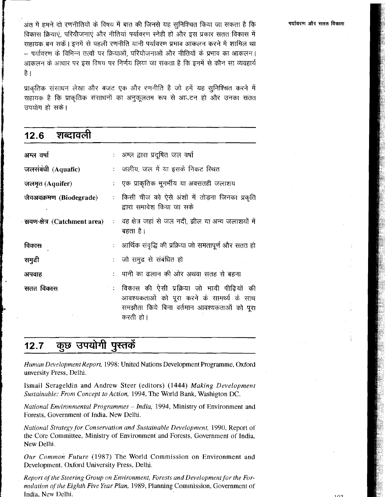प्राकतिक संसाधन लेखा और बजट एक और रणनीति है जो हमें यह सुनिश्चित करने में सहायक है कि प्राकृतिक संसाधनों का अनुकूलतम रूप से आदटन हो और उनका सतत उपयोग हो सके।

| शब्दावली<br>12.6        |                                                                                                                                                     |
|-------------------------|-----------------------------------------------------------------------------------------------------------------------------------------------------|
| अम्ल वर्षा              | : अम्ल द्वारा प्रदूषित जल वर्षा                                                                                                                     |
| जलसंबंधी (Aquafic)      | : जलीय, जल में या इसके निकट रिथत                                                                                                                    |
| जलमृत (Aquifer)         | : एक प्राकृतिक भूगर्भीय या अवसतही जलाशय                                                                                                             |
| जैवअवक्रमण (Biodegrade) | किसी चीज को ऐसे अंशों में तोड़ना जिनका प्रकृति<br>द्वारा समावेश किया जा सके                                                                         |
|                         | ् <b>स्रवण-क्षेत्र</b> (Catchment area) ः वह क्षेत्र जहां से जल नदी, झील या अन्य जलाशयों में<br>बहता है।                                            |
| विकास                   | : ) आर्थिक संवृद्धि की प्रक्रिया जो समतापूर्ण और सतत हो                                                                                             |
| समुद्री                 | : जो समुद्र से संबंधित हो                                                                                                                           |
| अपवाह                   | :   पानी का ढलान की ओर अथवा सतह से बहना                                                                                                             |
| सतत विकास               | विकास की ऐसी प्रक्रिया जो भावी पीढ़ियों की<br>आवश्यकताओं को पूरा करने के सामर्थ्य के साथ<br>समझौता किये बिना वर्तमान आवश्यकताओं को पूरा<br>करती हो। |

### कुछ उपयोगी पुस्तकें  $12.7$

Human Development Report, 1998: United Nations Development Programme, Oxford unversity Press, Delhi.

Ismail Serageldin and Andrew Steer (editors) (1444) Making Development Sustainable: From Concept to Action, 1994, The World Bank, Washigton DC.

National Environmental Programmes - India, 1994, Ministry of Environment and Forests, Government of India, New Delhi.

National Strategy for Conservation and Sustainable Development, 1990, Report of the Core Committee, Ministry of Environment and Forests, Government of India, New Delhi.

Our Common Future (1987) The World Commission on Environment and Development, Oxford University Press, Delhi.

Report of the Steering Group on Environment, Forests and Development for the Formulation of the Eighth Five Year Plan, 1989, Planning Commission, Government of India, New Delhi.